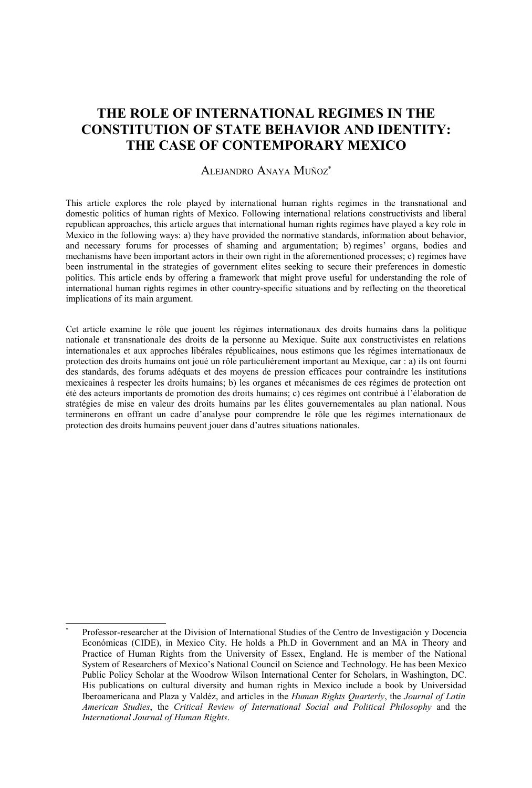# **THE ROLE OF INTERNATIONAL REGIMES IN THE CONSTITUTION OF STATE BEHAVIOR AND IDENTITY: THE CASE OF CONTEMPORARY MEXICO**

#### ALEJANDRO ANAYA MUÑOZ[\\*](#page-0-0)

This article explores the role played by international human rights regimes in the transnational and domestic politics of human rights of Mexico. Following international relations constructivists and liberal republican approaches, this article argues that international human rights regimes have played a key role in Mexico in the following ways: a) they have provided the normative standards, information about behavior, and necessary forums for processes of shaming and argumentation; b) regimes' organs, bodies and mechanisms have been important actors in their own right in the aforementioned processes; c) regimes have been instrumental in the strategies of government elites seeking to secure their preferences in domestic politics. This article ends by offering a framework that might prove useful for understanding the role of international human rights regimes in other country-specific situations and by reflecting on the theoretical implications of its main argument.

Cet article examine le rôle que jouent les régimes internationaux des droits humains dans la politique nationale et transnationale des droits de la personne au Mexique. Suite aux constructivistes en relations internationales et aux approches libérales républicaines, nous estimons que les régimes internationaux de protection des droits humains ont joué un rôle particulièrement important au Mexique, car : a) ils ont fourni des standards, des forums adéquats et des moyens de pression efficaces pour contraindre les institutions mexicaines à respecter les droits humains; b) les organes et mécanismes de ces régimes de protection ont été des acteurs importants de promotion des droits humains; c) ces régimes ont contribué à l'élaboration de stratégies de mise en valeur des droits humains par les élites gouvernementales au plan national. Nous terminerons en offrant un cadre d'analyse pour comprendre le rôle que les régimes internationaux de protection des droits humains peuvent jouer dans d'autres situations nationales.

<span id="page-0-0"></span><sup>\*</sup> Professor-researcher at the Division of International Studies of the Centro de Investigación y Docencia Económicas (CIDE), in Mexico City. He holds a Ph.D in Government and an MA in Theory and Practice of Human Rights from the University of Essex, England. He is member of the National System of Researchers of Mexico's National Council on Science and Technology. He has been Mexico Public Policy Scholar at the Woodrow Wilson International Center for Scholars, in Washington, DC. His publications on cultural diversity and human rights in Mexico include a book by Universidad Iberoamericana and Plaza y Valdéz, and articles in the *Human Rights Quarterly*, the *Journal of Latin American Studies*, the *Critical Review of International Social and Political Philosophy* and the *International Journal of Human Rights*.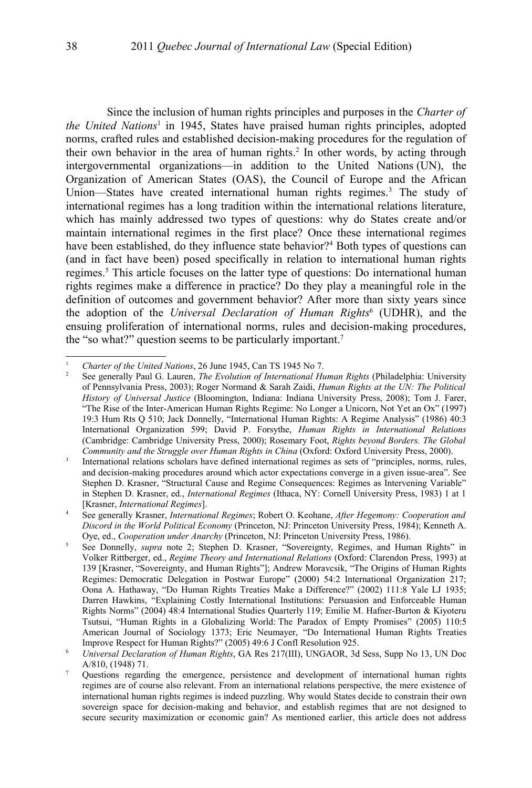Since the inclusion of human rights principles and purposes in the *Charter of the United Nations*[1](#page-1-1) in 1945, States have praised human rights principles, adopted norms, crafted rules and established decision-making procedures for the regulation of their own behavior in the area of human rights. [2](#page-1-0) In other words, by acting through intergovernmental organizations—in addition to the United Nations (UN), the Organization of American States (OAS), the Council of Europe and the African Union—States have created international human rights regimes.<sup>[3](#page-1-2)</sup> The study of international regimes has a long tradition within the international relations literature, which has mainly addressed two types of questions: why do States create and/or maintain international regimes in the first place? Once these international regimes have been established, do they influence state behavior?<sup>[4](#page-1-3)</sup> Both types of questions can (and in fact have been) posed specifically in relation to international human rights regimes.<sup>[5](#page-1-4)</sup> This article focuses on the latter type of questions: Do international human rights regimes make a difference in practice? Do they play a meaningful role in the definition of outcomes and government behavior? After more than sixty years since the adoption of the *Universal Declaration of Human Rights*[6](#page-1-5) (UDHR), and the ensuing proliferation of international norms, rules and decision-making procedures, the "so what?" question seems to be particularly important.[7](#page-1-6)

<span id="page-1-1"></span><sup>&</sup>lt;sup>1</sup> *Charter of the United Nations*, 26 June 1945, Can TS 1945 No 7.<br><sup>2</sup> See generally Paul C. Lowen, The Evolution of International H.

<span id="page-1-0"></span><sup>2</sup> See generally Paul G. Lauren, *The Evolution of International Human Rights* (Philadelphia: University of Pennsylvania Press, 2003); Roger Normand & Sarah Zaidi, *Human Rights at the UN: The Political History of Universal Justice* (Bloomington, Indiana: Indiana University Press, 2008); Tom J. Farer, "The Rise of the Inter-American Human Rights Regime: No Longer a Unicorn, Not Yet an Ox" (1997) 19:3 Hum Rts Q 510; Jack Donnelly, "International Human Rights: A Regime Analysis" (1986) 40:3 International Organization 599; David P. Forsythe, *Human Rights in International Relations* (Cambridge: Cambridge University Press, 2000); Rosemary Foot, *Rights beyond Borders. The Global Community and the Struggle over Human Rights in China* (Oxford: Oxford University Press, 2000).

<span id="page-1-2"></span><sup>3</sup> International relations scholars have defined international regimes as sets of "principles, norms, rules, and decision-making procedures around which actor expectations converge in a given issue-area". See Stephen D. Krasner, "Structural Cause and Regime Consequences: Regimes as Intervening Variable" in Stephen D. Krasner, ed., *International Regimes* (Ithaca, NY: Cornell University Press, 1983) 1 at 1 [Krasner, *International Regimes*].

<span id="page-1-3"></span><sup>4</sup> See generally Krasner, *International Regimes*; Robert O. Keohane, *After Hegemony: Cooperation and Discord in the World Political Economy* (Princeton, NJ: Princeton University Press, 1984); Kenneth A. Oye, ed., *Cooperation under Anarchy* (Princeton, NJ: Princeton University Press, 1986).

<span id="page-1-4"></span><sup>&</sup>lt;sup>5</sup> See Donnelly, *supra* note [2;](#page-1-0) Stephen D. Krasner, "Sovereignty, Regimes, and Human Rights" in Volker Rittberger, ed., *Regime Theory and International Relations* (Oxford: Clarendon Press, 1993) at 139 [Krasner, "Sovereignty, and Human Rights"]; Andrew Moravcsik, "The Origins of Human Rights Regimes: Democratic Delegation in Postwar Europe" (2000) 54:2 International Organization 217; Oona A. Hathaway, "Do Human Rights Treaties Make a Difference?" (2002) 111:8 Yale LJ 1935; Darren Hawkins, "Explaining Costly International Institutions: Persuasion and Enforceable Human Rights Norms" (2004) 48:4 International Studies Quarterly 119; Emilie M. Hafner-Burton & Kiyoteru Tsutsui, "Human Rights in a Globalizing World: The Paradox of Empty Promises" (2005) 110:5 American Journal of Sociology 1373; Eric Neumayer, "Do International Human Rights Treaties Improve Respect for Human Rights?" (2005) 49:6 J Confl Resolution 925.

<span id="page-1-5"></span><sup>6</sup> *Universal Declaration of Human Rights*, GA Res 217(III), UNGAOR, 3d Sess, Supp No 13, UN Doc A/810, (1948) 71.

<span id="page-1-6"></span><sup>7</sup> Questions regarding the emergence, persistence and development of international human rights regimes are of course also relevant. From an international relations perspective, the mere existence of international human rights regimes is indeed puzzling. Why would States decide to constrain their own sovereign space for decision-making and behavior, and establish regimes that are not designed to secure security maximization or economic gain? As mentioned earlier, this article does not address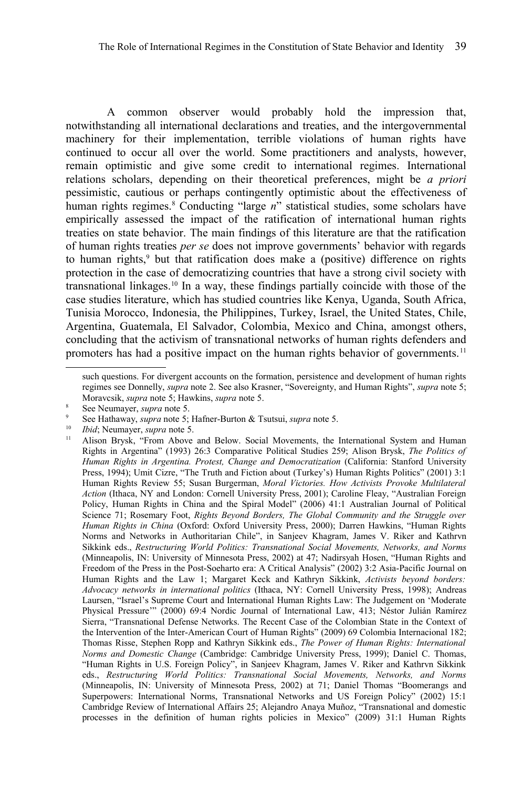A common observer would probably hold the impression that, notwithstanding all international declarations and treaties, and the intergovernmental machinery for their implementation, terrible violations of human rights have continued to occur all over the world. Some practitioners and analysts, however, remain optimistic and give some credit to international regimes. International relations scholars, depending on their theoretical preferences, might be *a priori* pessimistic, cautious or perhaps contingently optimistic about the effectiveness of human rights regimes.<sup>[8](#page-2-0)</sup> Conducting "large *n*" statistical studies, some scholars have empirically assessed the impact of the ratification of international human rights treaties on state behavior. The main findings of this literature are that the ratification of human rights treaties *per se* does not improve governments' behavior with regards to human rights,<sup>[9](#page-2-1)</sup> but that ratification does make a (positive) difference on rights protection in the case of democratizing countries that have a strong civil society with transnational linkages.[10](#page-2-2) In a way, these findings partially coincide with those of the case studies literature, which has studied countries like Kenya, Uganda, South Africa, Tunisia Morocco, Indonesia, the Philippines, Turkey, Israel, the United States, Chile, Argentina, Guatemala, El Salvador, Colombia, Mexico and China, amongst others, concluding that the activism of transnational networks of human rights defenders and promoters has had a positive impact on the human rights behavior of governments.<sup>[11](#page-2-3)</sup>

<sup>10</sup> *Ibid*; Neumayer, *supra* note [5.](#page-1-4)

such questions. For divergent accounts on the formation, persistence and development of human rights regimes see Donnelly, *supra* note [2.](#page-1-0) See also Krasner, "Sovereignty, and Human Rights", *supra* note [5;](#page-1-4) Moravcsik, *supra* note [5;](#page-1-4) Hawkins, *supra* note [5.](#page-1-4)

<span id="page-2-0"></span><sup>&</sup>lt;sup>8</sup> See Neumayer, *supra* note [5.](#page-1-4)

<span id="page-2-1"></span><sup>9</sup> See Hathaway, *supra* note [5;](#page-1-4) Hafner-Burton & Tsutsui, *supra* note [5.](#page-1-4)

<span id="page-2-3"></span><span id="page-2-2"></span><sup>11</sup> Alison Brysk, "From Above and Below. Social Movements, the International System and Human Rights in Argentina" (1993) 26:3 Comparative Political Studies 259; Alison Brysk, *The Politics of Human Rights in Argentina. Protest, Change and Democratization* (California: Stanford University Press, 1994); Umit Cizre, "The Truth and Fiction about (Turkey's) Human Rights Politics" (2001) 3:1 Human Rights Review 55; Susan Burgerman, *Moral Victories. How Activists Provoke Multilateral Action* (Ithaca, NY and London: Cornell University Press, 2001); Caroline Fleay, "Australian Foreign Policy, Human Rights in China and the Spiral Model" (2006) 41:1 Australian Journal of Political Science 71; Rosemary Foot, *Rights Beyond Borders, The Global Community and the Struggle over Human Rights in China* (Oxford: Oxford University Press, 2000); Darren Hawkins, "Human Rights Norms and Networks in Authoritarian Chile", in Sanjeev Khagram, James V. Riker and Kathrvn Sikkink eds., *Restructuring World Politics: Transnational Social Movements, Networks, and Norms* (Minneapolis, IN: University of Minnesota Press, 2002) at 47; Nadirsyah Hosen, "Human Rights and Freedom of the Press in the Post-Soeharto era: A Critical Analysis" (2002) 3:2 Asia-Pacific Journal on Human Rights and the Law 1; Margaret Keck and Kathryn Sikkink, *Activists beyond borders: Advocacy networks in international politics* (Ithaca, NY: Cornell University Press, 1998); Andreas Laursen, "Israel's Supreme Court and International Human Rights Law: The Judgement on 'Moderate Physical Pressure'" (2000) 69:4 Nordic Journal of International Law, 413; Néstor Julián Ramírez Sierra, "Transnational Defense Networks. The Recent Case of the Colombian State in the Context of the Intervention of the Inter-American Court of Human Rights" (2009) 69 Colombia Internacional 182; Thomas Risse, Stephen Ropp and Kathryn Sikkink eds., *The Power of Human Rights: International Norms and Domestic Change* (Cambridge: Cambridge University Press, 1999); Daniel C. Thomas, "Human Rights in U.S. Foreign Policy", in Sanjeev Khagram, James V. Riker and Kathrvn Sikkink eds., *Restructuring World Politics: Transnational Social Movements, Networks, and Norms* (Minneapolis, IN: University of Minnesota Press, 2002) at 71; Daniel Thomas "Boomerangs and Superpowers: International Norms, Transnational Networks and US Foreign Policy" (2002) 15:1 Cambridge Review of International Affairs 25; Alejandro Anaya Muñoz, "Transnational and domestic processes in the definition of human rights policies in Mexico" (2009) 31:1 Human Rights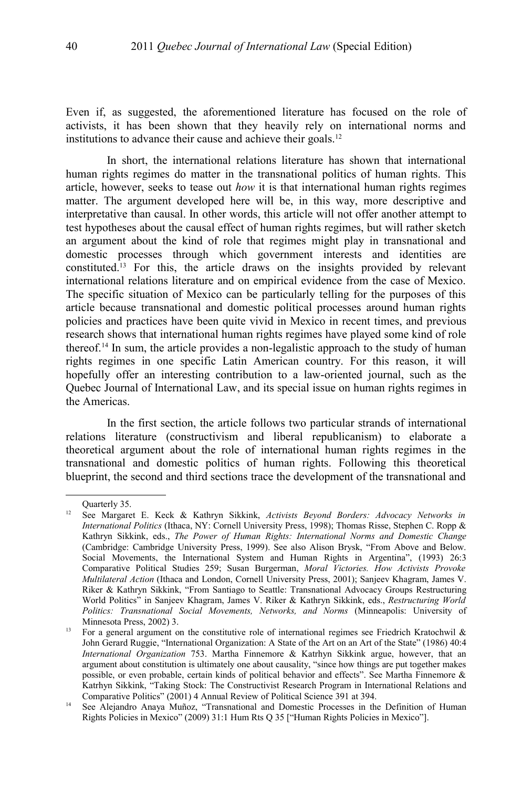Even if, as suggested, the aforementioned literature has focused on the role of activists, it has been shown that they heavily rely on international norms and institutions to advance their cause and achieve their goals.<sup>[12](#page-3-0)</sup>

In short, the international relations literature has shown that international human rights regimes do matter in the transnational politics of human rights. This article, however, seeks to tease out *how* it is that international human rights regimes matter. The argument developed here will be, in this way, more descriptive and interpretative than causal. In other words, this article will not offer another attempt to test hypotheses about the causal effect of human rights regimes, but will rather sketch an argument about the kind of role that regimes might play in transnational and domestic processes through which government interests and identities are constituted.[13](#page-3-1) For this, the article draws on the insights provided by relevant international relations literature and on empirical evidence from the case of Mexico. The specific situation of Mexico can be particularly telling for the purposes of this article because transnational and domestic political processes around human rights policies and practices have been quite vivid in Mexico in recent times, and previous research shows that international human rights regimes have played some kind of role thereof.<sup>[14](#page-3-2)</sup> In sum, the article provides a non-legalistic approach to the study of human rights regimes in one specific Latin American country. For this reason, it will hopefully offer an interesting contribution to a law-oriented journal, such as the Quebec Journal of International Law, and its special issue on human rights regimes in the Americas.

In the first section, the article follows two particular strands of international relations literature (constructivism and liberal republicanism) to elaborate a theoretical argument about the role of international human rights regimes in the transnational and domestic politics of human rights. Following this theoretical blueprint, the second and third sections trace the development of the transnational and

<span id="page-3-0"></span>Quarterly 35.

<sup>12</sup> See Margaret E. Keck & Kathryn Sikkink, *Activists Beyond Borders: Advocacy Networks in International Politics* (Ithaca, NY: Cornell University Press, 1998); Thomas Risse, Stephen C. Ropp & Kathryn Sikkink, eds., *The Power of Human Rights: International Norms and Domestic Change* (Cambridge: Cambridge University Press, 1999). See also Alison Brysk, "From Above and Below. Social Movements, the International System and Human Rights in Argentina", (1993) 26:3 Comparative Political Studies 259; Susan Burgerman, *Moral Victories. How Activists Provoke Multilateral Action* (Ithaca and London, Cornell University Press, 2001); Sanjeev Khagram, James V. Riker & Kathryn Sikkink, "From Santiago to Seattle: Transnational Advocacy Groups Restructuring World Politics" in Sanjeev Khagram, James V. Riker & Kathryn Sikkink, eds., *Restructuring World Politics: Transnational Social Movements, Networks, and Norms* (Minneapolis: University of Minnesota Press, 2002) 3.

<span id="page-3-1"></span><sup>&</sup>lt;sup>13</sup> For a general argument on the constitutive role of international regimes see Friedrich Kratochwil & John Gerard Ruggie, "International Organization: A State of the Art on an Art of the State" (1986) 40:4 *International Organization* 753. Martha Finnemore & Katrhyn Sikkink argue, however, that an argument about constitution is ultimately one about causality, "since how things are put together makes possible, or even probable, certain kinds of political behavior and effects". See Martha Finnemore & Katrhyn Sikkink, "Taking Stock: The Constructivist Research Program in International Relations and Comparative Politics" (2001) 4 Annual Review of Political Science 391 at 394.

<span id="page-3-2"></span><sup>&</sup>lt;sup>14</sup> See Alejandro Anaya Muñoz, "Transnational and Domestic Processes in the Definition of Human Rights Policies in Mexico" (2009) 31:1 Hum Rts Q 35 ["Human Rights Policies in Mexico"].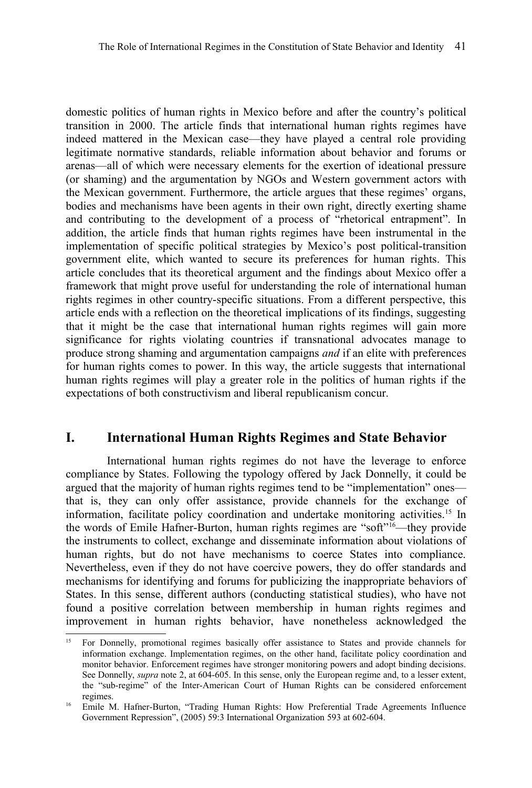domestic politics of human rights in Mexico before and after the country's political transition in 2000. The article finds that international human rights regimes have indeed mattered in the Mexican case—they have played a central role providing legitimate normative standards, reliable information about behavior and forums or arenas—all of which were necessary elements for the exertion of ideational pressure (or shaming) and the argumentation by NGOs and Western government actors with the Mexican government. Furthermore, the article argues that these regimes' organs, bodies and mechanisms have been agents in their own right, directly exerting shame and contributing to the development of a process of "rhetorical entrapment". In addition, the article finds that human rights regimes have been instrumental in the implementation of specific political strategies by Mexico's post political-transition government elite, which wanted to secure its preferences for human rights. This article concludes that its theoretical argument and the findings about Mexico offer a framework that might prove useful for understanding the role of international human rights regimes in other country-specific situations. From a different perspective, this article ends with a reflection on the theoretical implications of its findings, suggesting that it might be the case that international human rights regimes will gain more significance for rights violating countries if transnational advocates manage to produce strong shaming and argumentation campaigns *and* if an elite with preferences for human rights comes to power. In this way, the article suggests that international human rights regimes will play a greater role in the politics of human rights if the expectations of both constructivism and liberal republicanism concur.

### **I. International Human Rights Regimes and State Behavior**

International human rights regimes do not have the leverage to enforce compliance by States. Following the typology offered by Jack Donnelly, it could be argued that the majority of human rights regimes tend to be "implementation" ones that is, they can only offer assistance, provide channels for the exchange of information, facilitate policy coordination and undertake monitoring activities.[15](#page-4-0) In the words of Emile Hafner-Burton, human rights regimes are "soft"[16](#page-4-1)—they provide the instruments to collect, exchange and disseminate information about violations of human rights, but do not have mechanisms to coerce States into compliance. Nevertheless, even if they do not have coercive powers, they do offer standards and mechanisms for identifying and forums for publicizing the inappropriate behaviors of States. In this sense, different authors (conducting statistical studies), who have not found a positive correlation between membership in human rights regimes and improvement in human rights behavior, have nonetheless acknowledged the

<span id="page-4-0"></span><sup>15</sup> For Donnelly, promotional regimes basically offer assistance to States and provide channels for information exchange. Implementation regimes, on the other hand, facilitate policy coordination and monitor behavior. Enforcement regimes have stronger monitoring powers and adopt binding decisions. See Donnelly, *supra* note [2,](#page-1-0) at 604-605. In this sense, only the European regime and, to a lesser extent, the "sub-regime" of the Inter-American Court of Human Rights can be considered enforcement regimes.

<span id="page-4-1"></span><sup>&</sup>lt;sup>16</sup> Emile M. Hafner-Burton, "Trading Human Rights: How Preferential Trade Agreements Influence Government Repression", (2005) 59:3 International Organization 593 at 602-604.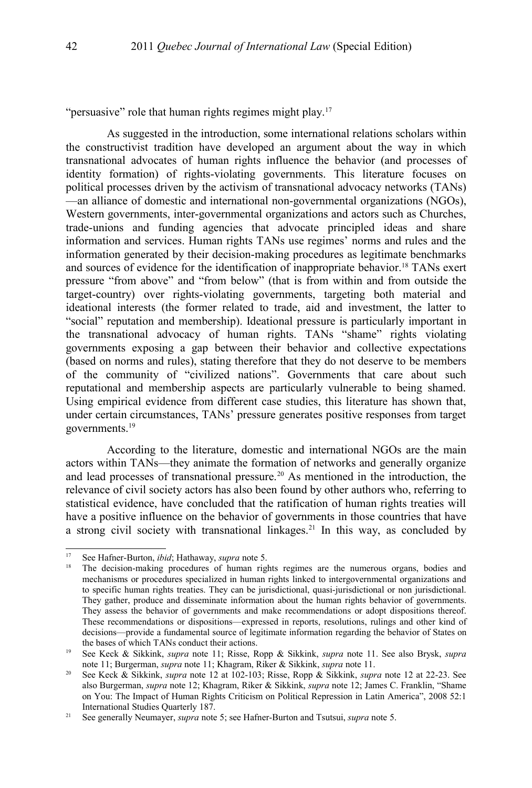"persuasive" role that human rights regimes might play.<sup>[17](#page-5-0)</sup>

As suggested in the introduction, some international relations scholars within the constructivist tradition have developed an argument about the way in which transnational advocates of human rights influence the behavior (and processes of identity formation) of rights-violating governments. This literature focuses on political processes driven by the activism of transnational advocacy networks (TANs) —an alliance of domestic and international non-governmental organizations (NGOs), Western governments, inter-governmental organizations and actors such as Churches, trade-unions and funding agencies that advocate principled ideas and share information and services. Human rights TANs use regimes' norms and rules and the information generated by their decision-making procedures as legitimate benchmarks and sources of evidence for the identification of inappropriate behavior.<sup>[18](#page-5-1)</sup> TANs exert pressure "from above" and "from below" (that is from within and from outside the target-country) over rights-violating governments, targeting both material and ideational interests (the former related to trade, aid and investment, the latter to "social" reputation and membership). Ideational pressure is particularly important in the transnational advocacy of human rights. TANs "shame" rights violating governments exposing a gap between their behavior and collective expectations (based on norms and rules), stating therefore that they do not deserve to be members of the community of "civilized nations". Governments that care about such reputational and membership aspects are particularly vulnerable to being shamed. Using empirical evidence from different case studies, this literature has shown that, under certain circumstances, TANs' pressure generates positive responses from target governments.[19](#page-5-2)

According to the literature, domestic and international NGOs are the main actors within TANs—they animate the formation of networks and generally organize and lead processes of transnational pressure.[20](#page-5-3) As mentioned in the introduction, the relevance of civil society actors has also been found by other authors who, referring to statistical evidence, have concluded that the ratification of human rights treaties will have a positive influence on the behavior of governments in those countries that have a strong civil society with transnational linkages.<sup>[21](#page-5-4)</sup> In this way, as concluded by

<span id="page-5-0"></span><sup>17</sup> See Hafner-Burton, *ibid*; Hathaway, *supra* note [5.](#page-1-4)

<span id="page-5-1"></span><sup>&</sup>lt;sup>18</sup> The decision-making procedures of human rights regimes are the numerous organs, bodies and mechanisms or procedures specialized in human rights linked to intergovernmental organizations and to specific human rights treaties. They can be jurisdictional, quasi-jurisdictional or non jurisdictional. They gather, produce and disseminate information about the human rights behavior of governments. They assess the behavior of governments and make recommendations or adopt dispositions thereof. These recommendations or dispositions—expressed in reports, resolutions, rulings and other kind of decisions—provide a fundamental source of legitimate information regarding the behavior of States on the bases of which TANs conduct their actions.

<span id="page-5-2"></span><sup>19</sup> See Keck & Sikkink, *supra* note [11;](#page-2-3) Risse, Ropp & Sikkink, *supra* note [11.](#page-2-3) See also Brysk, *supra* note [11;](#page-2-3) Burgerman, *supra* note [11;](#page-2-3) Khagram, Riker & Sikkink, *supra* note [11.](#page-2-3)

<span id="page-5-3"></span><sup>20</sup> See Keck & Sikkink, *supra* note [12](#page-3-0) at 102-103; Risse, Ropp & Sikkink, *supra* note [12](#page-3-0) at 22-23. See also Burgerman, *supra* note [12;](#page-3-0) Khagram, Riker & Sikkink, *supra* note [12;](#page-3-0) James C. Franklin, "Shame on You: The Impact of Human Rights Criticism on Political Repression in Latin America", 2008 52:1 International Studies Quarterly 187.

<span id="page-5-4"></span><sup>21</sup> See generally Neumayer, *supra* note [5;](#page-1-4) see Hafner-Burton and Tsutsui, *supra* note [5.](#page-1-4)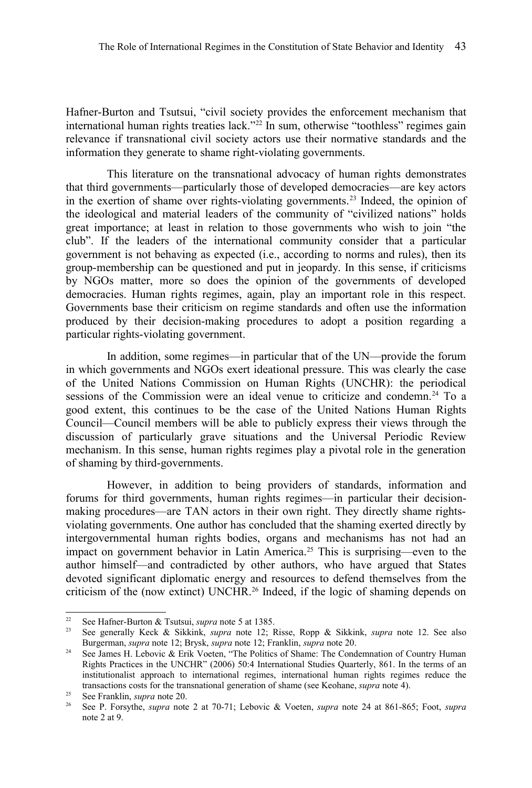Hafner-Burton and Tsutsui, "civil society provides the enforcement mechanism that international human rights treaties lack."<sup>[22](#page-6-1)</sup> In sum, otherwise "toothless" regimes gain relevance if transnational civil society actors use their normative standards and the information they generate to shame right-violating governments.

This literature on the transnational advocacy of human rights demonstrates that third governments—particularly those of developed democracies—are key actors in the exertion of shame over rights-violating governments.[23](#page-6-2) Indeed, the opinion of the ideological and material leaders of the community of "civilized nations" holds great importance; at least in relation to those governments who wish to join "the club". If the leaders of the international community consider that a particular government is not behaving as expected (i.e., according to norms and rules), then its group-membership can be questioned and put in jeopardy. In this sense, if criticisms by NGOs matter, more so does the opinion of the governments of developed democracies. Human rights regimes, again, play an important role in this respect. Governments base their criticism on regime standards and often use the information produced by their decision-making procedures to adopt a position regarding a particular rights-violating government.

In addition, some regimes—in particular that of the UN—provide the forum in which governments and NGOs exert ideational pressure. This was clearly the case of the United Nations Commission on Human Rights (UNCHR): the periodical sessions of the Commission were an ideal venue to criticize and condemn.<sup>[24](#page-6-0)</sup> To a good extent, this continues to be the case of the United Nations Human Rights Council—Council members will be able to publicly express their views through the discussion of particularly grave situations and the Universal Periodic Review mechanism. In this sense, human rights regimes play a pivotal role in the generation of shaming by third-governments.

However, in addition to being providers of standards, information and forums for third governments, human rights regimes—in particular their decisionmaking procedures—are TAN actors in their own right. They directly shame rightsviolating governments. One author has concluded that the shaming exerted directly by intergovernmental human rights bodies, organs and mechanisms has not had an impact on government behavior in Latin America.[25](#page-6-3) This is surprising—even to the author himself—and contradicted by other authors, who have argued that States devoted significant diplomatic energy and resources to defend themselves from the criticism of the (now extinct) UNCHR.[26](#page-6-4) Indeed, if the logic of shaming depends on

<span id="page-6-1"></span><sup>&</sup>lt;sup>22</sup> See Hafner-Burton & Tsutsui, *supra* note [5](#page-1-4) at 1385.<br><sup>23</sup> See generally Keck & Sikkink *supra* note 12: **6** 

<span id="page-6-2"></span><sup>23</sup> See generally Keck & Sikkink, *supra* note [12;](#page-3-0) Risse, Ropp & Sikkink, *supra* note [12.](#page-3-0) See also Burgerman, *supra* note [12;](#page-3-0) Brysk, *supra* note [12;](#page-3-0) Franklin, *supra* note [20.](#page-5-3)

<span id="page-6-0"></span><sup>&</sup>lt;sup>24</sup> See James H. Lebovic & Erik Voeten, "The Politics of Shame: The Condemnation of Country Human Rights Practices in the UNCHR" (2006) 50:4 International Studies Quarterly, 861. In the terms of an institutionalist approach to international regimes, international human rights regimes reduce the transactions costs for the transnational generation of shame (see Keohane, *supra* note [4\)](#page-1-3).

<span id="page-6-3"></span><sup>25</sup> See Franklin, *supra* note [20.](#page-5-3)

<span id="page-6-4"></span><sup>26</sup> See P. Forsythe, *supra* note [2](#page-1-0) at 70-71; Lebovic & Voeten, *supra* note [24](#page-6-0) at 861-865; Foot, *supra* note [2](#page-1-0) at 9.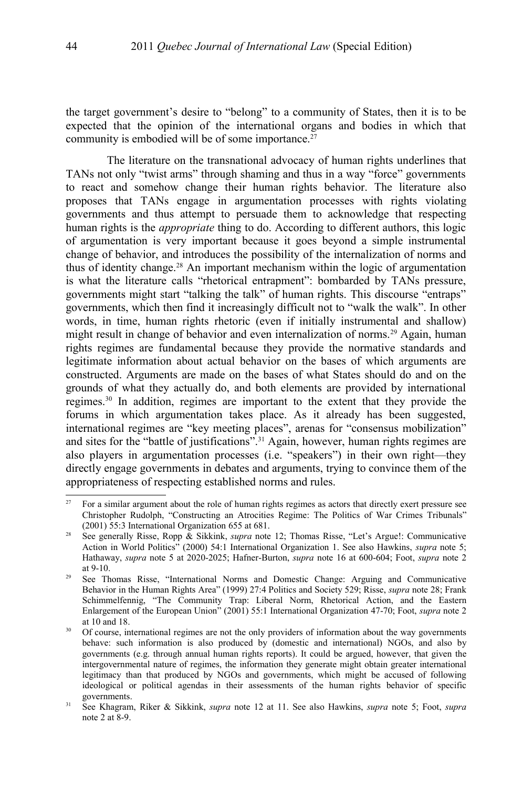the target government's desire to "belong" to a community of States, then it is to be expected that the opinion of the international organs and bodies in which that community is embodied will be of some importance.<sup>[27](#page-7-1)</sup>

The literature on the transnational advocacy of human rights underlines that TANs not only "twist arms" through shaming and thus in a way "force" governments to react and somehow change their human rights behavior. The literature also proposes that TANs engage in argumentation processes with rights violating governments and thus attempt to persuade them to acknowledge that respecting human rights is the *appropriate* thing to do. According to different authors, this logic of argumentation is very important because it goes beyond a simple instrumental change of behavior, and introduces the possibility of the internalization of norms and thus of identity change.[28](#page-7-0) An important mechanism within the logic of argumentation is what the literature calls "rhetorical entrapment": bombarded by TANs pressure, governments might start "talking the talk" of human rights. This discourse "entraps" governments, which then find it increasingly difficult not to "walk the walk". In other words, in time, human rights rhetoric (even if initially instrumental and shallow) might result in change of behavior and even internalization of norms.[29](#page-7-2) Again, human rights regimes are fundamental because they provide the normative standards and legitimate information about actual behavior on the bases of which arguments are constructed. Arguments are made on the bases of what States should do and on the grounds of what they actually do, and both elements are provided by international regimes.[30](#page-7-3) In addition, regimes are important to the extent that they provide the forums in which argumentation takes place. As it already has been suggested, international regimes are "key meeting places", arenas for "consensus mobilization" and sites for the "battle of justifications".<sup>[31](#page-7-4)</sup> Again, however, human rights regimes are also players in argumentation processes (i.e. "speakers") in their own right—they directly engage governments in debates and arguments, trying to convince them of the appropriateness of respecting established norms and rules.

<span id="page-7-1"></span><sup>&</sup>lt;sup>27</sup> For a similar argument about the role of human rights regimes as actors that directly exert pressure see Christopher Rudolph, "Constructing an Atrocities Regime: The Politics of War Crimes Tribunals" (2001) 55:3 International Organization 655 at 681.

<span id="page-7-0"></span><sup>28</sup> See generally Risse, Ropp & Sikkink, *supra* note [12;](#page-3-0) Thomas Risse, "Let's Argue!: Communicative Action in World Politics" (2000) 54:1 International Organization 1. See also Hawkins, *supra* note [5;](#page-1-4) Hathaway, *supra* note [5](#page-1-4) at 2020-2025; Hafner-Burton, *supra* note [16](#page-4-1) at 600-604; Foot, *supra* note [2](#page-1-0) at 9-10.

<span id="page-7-2"></span><sup>&</sup>lt;sup>29</sup> See Thomas Risse, "International Norms and Domestic Change: Arguing and Communicative Behavior in the Human Rights Area" (1999) 27:4 Politics and Society 529; Risse, *supra* note [28;](#page-7-0) Frank Schimmelfennig, "The Community Trap: Liberal Norm, Rhetorical Action, and the Eastern Enlargement of the European Union" (2001) 55:1 International Organization 47-70; Foot, *supra* note [2](#page-1-0) at 10 and 18.

<span id="page-7-3"></span><sup>&</sup>lt;sup>30</sup> Of course, international regimes are not the only providers of information about the way governments behave: such information is also produced by (domestic and international) NGOs, and also by governments (e.g. through annual human rights reports). It could be argued, however, that given the intergovernmental nature of regimes, the information they generate might obtain greater international legitimacy than that produced by NGOs and governments, which might be accused of following ideological or political agendas in their assessments of the human rights behavior of specific governments.

<span id="page-7-4"></span><sup>31</sup> See Khagram, Riker & Sikkink, *supra* note [12](#page-3-0) at 11. See also Hawkins, *supra* note [5;](#page-1-4) Foot, *supra* note [2](#page-1-0) at 8-9.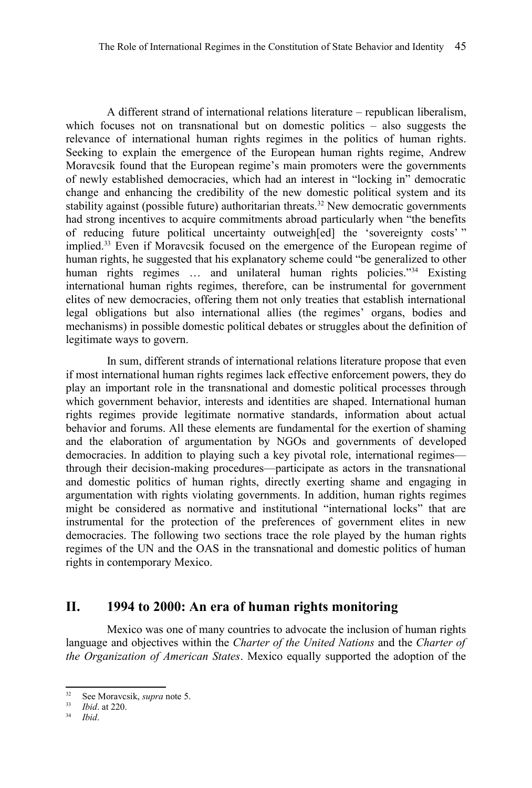A different strand of international relations literature – republican liberalism, which focuses not on transnational but on domestic politics – also suggests the relevance of international human rights regimes in the politics of human rights. Seeking to explain the emergence of the European human rights regime, Andrew Moravcsik found that the European regime's main promoters were the governments of newly established democracies, which had an interest in "locking in" democratic change and enhancing the credibility of the new domestic political system and its stability against (possible future) authoritarian threats.<sup>[32](#page-8-0)</sup> New democratic governments had strong incentives to acquire commitments abroad particularly when "the benefits of reducing future political uncertainty outweigh[ed] the 'sovereignty costs' " implied.[33](#page-8-1) Even if Moravcsik focused on the emergence of the European regime of human rights, he suggested that his explanatory scheme could "be generalized to other human rights regimes ... and unilateral human rights policies."<sup>[34](#page-8-2)</sup> Existing international human rights regimes, therefore, can be instrumental for government elites of new democracies, offering them not only treaties that establish international legal obligations but also international allies (the regimes' organs, bodies and mechanisms) in possible domestic political debates or struggles about the definition of legitimate ways to govern.

In sum, different strands of international relations literature propose that even if most international human rights regimes lack effective enforcement powers, they do play an important role in the transnational and domestic political processes through which government behavior, interests and identities are shaped. International human rights regimes provide legitimate normative standards, information about actual behavior and forums. All these elements are fundamental for the exertion of shaming and the elaboration of argumentation by NGOs and governments of developed democracies. In addition to playing such a key pivotal role, international regimes through their decision-making procedures—participate as actors in the transnational and domestic politics of human rights, directly exerting shame and engaging in argumentation with rights violating governments. In addition, human rights regimes might be considered as normative and institutional "international locks" that are instrumental for the protection of the preferences of government elites in new democracies. The following two sections trace the role played by the human rights regimes of the UN and the OAS in the transnational and domestic politics of human rights in contemporary Mexico.

### **II. 1994 to 2000: An era of human rights monitoring**

Mexico was one of many countries to advocate the inclusion of human rights language and objectives within the *Charter of the United Nations* and the *Charter of the Organization of American States*. Mexico equally supported the adoption of the

<span id="page-8-0"></span><sup>32</sup> See Moravcsik, *supra* note [5.](#page-1-4)

<span id="page-8-1"></span><sup>33</sup> *Ibid*. at 220.

<span id="page-8-2"></span><sup>34</sup> *Ibid*.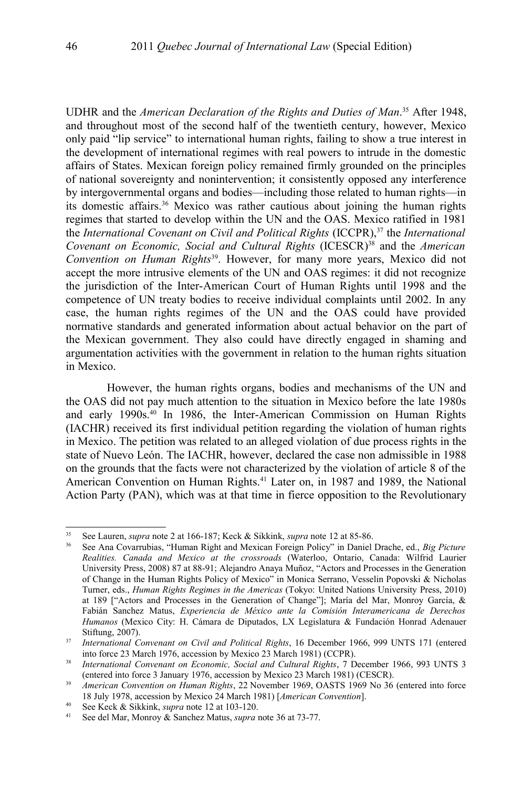UDHR and the *American Declaration of the Rights and Duties of Man*. [35](#page-9-1) After 1948, and throughout most of the second half of the twentieth century, however, Mexico only paid "lip service" to international human rights, failing to show a true interest in the development of international regimes with real powers to intrude in the domestic affairs of States. Mexican foreign policy remained firmly grounded on the principles of national sovereignty and nonintervention; it consistently opposed any interference by intergovernmental organs and bodies—including those related to human rights—in its domestic affairs.[36](#page-9-0) Mexico was rather cautious about joining the human rights regimes that started to develop within the UN and the OAS. Mexico ratified in 1981 the *International Covenant on Civil and Political Rights* (ICCPR),[37](#page-9-2) the *International Covenant on Economic, Social and Cultural Rights* (ICESCR)<sup>[38](#page-9-3)</sup> and the *American Convention on Human Rights*[39](#page-9-4). However, for many more years, Mexico did not accept the more intrusive elements of the UN and OAS regimes: it did not recognize the jurisdiction of the Inter-American Court of Human Rights until 1998 and the competence of UN treaty bodies to receive individual complaints until 2002. In any case, the human rights regimes of the UN and the OAS could have provided normative standards and generated information about actual behavior on the part of the Mexican government. They also could have directly engaged in shaming and argumentation activities with the government in relation to the human rights situation in Mexico.

However, the human rights organs, bodies and mechanisms of the UN and the OAS did not pay much attention to the situation in Mexico before the late 1980s and early 1990s.[40](#page-9-5) In 1986, the Inter-American Commission on Human Rights (IACHR) received its first individual petition regarding the violation of human rights in Mexico. The petition was related to an alleged violation of due process rights in the state of Nuevo León. The IACHR, however, declared the case non admissible in 1988 on the grounds that the facts were not characterized by the violation of article 8 of the American Convention on Human Rights.[41](#page-9-6) Later on, in 1987 and 1989, the National Action Party (PAN), which was at that time in fierce opposition to the Revolutionary

<span id="page-9-1"></span><sup>35</sup> See Lauren, *supra* note [2](#page-1-0) at 166-187; Keck & Sikkink, *supra* note [12](#page-3-0) at 85-86.

<span id="page-9-0"></span><sup>36</sup> See Ana Covarrubias, "Human Right and Mexican Foreign Policy" in Daniel Drache, ed., *Big Picture Realities. Canada and Mexico at the crossroads* (Waterloo, Ontario, Canada: Wilfrid Laurier University Press, 2008) 87 at 88-91; Alejandro Anaya Muñoz, "Actors and Processes in the Generation of Change in the Human Rights Policy of Mexico" in Monica Serrano, Vesselin Popovski & Nicholas Turner, eds., *Human Rights Regimes in the Americas* (Tokyo: United Nations University Press, 2010) at 189 ["Actors and Processes in the Generation of Change"]; María del Mar, Monroy García, & Fabián Sanchez Matus, *Experiencia de México ante la Comisión Interamericana de Derechos Humanos* (Mexico City: H. Cámara de Diputados, LX Legislatura & Fundación Honrad Adenauer Stiftung, 2007).

<span id="page-9-2"></span><sup>&</sup>lt;sup>37</sup> *International Convenant on Civil and Political Rights*, 16 December 1966, 999 UNTS 171 (entered into force 23 March 1976, accession by Mexico 23 March 1981) (CCPR).

<span id="page-9-3"></span><sup>38</sup> *International Convenant on Economic, Social and Cultural Rights*, 7 December 1966, 993 UNTS 3 (entered into force 3 January 1976, accession by Mexico 23 March 1981) (CESCR).

<span id="page-9-4"></span><sup>&</sup>lt;sup>39</sup> *American Convention on Human Rights*, 22 November 1969, OASTS 1969 No 36 (entered into force 18 July 1978, accession by Mexico 24 March 1981) [*American Convention*].

<span id="page-9-5"></span><sup>40</sup> See Keck & Sikkink, *supra* note [12](#page-3-0) at 103-120.

<span id="page-9-6"></span><sup>41</sup> See del Mar, Monroy & Sanchez Matus, *supra* note [36](#page-9-0) at 73-77.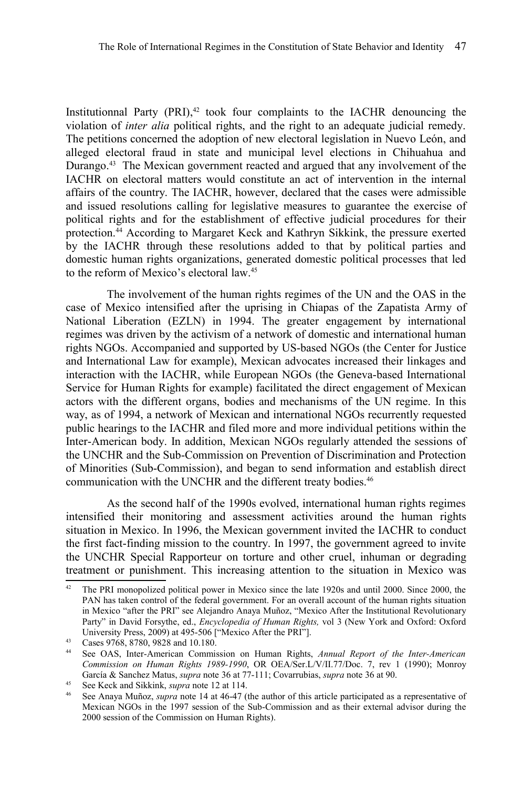Institutionnal Party (PRI), [42](#page-10-0) took four complaints to the IACHR denouncing the violation of *inter alia* political rights, and the right to an adequate judicial remedy. The petitions concerned the adoption of new electoral legislation in Nuevo León, and alleged electoral fraud in state and municipal level elections in Chihuahua and Durango.[43](#page-10-1) The Mexican government reacted and argued that any involvement of the IACHR on electoral matters would constitute an act of intervention in the internal affairs of the country. The IACHR, however, declared that the cases were admissible and issued resolutions calling for legislative measures to guarantee the exercise of political rights and for the establishment of effective judicial procedures for their protection.[44](#page-10-2) According to Margaret Keck and Kathryn Sikkink, the pressure exerted by the IACHR through these resolutions added to that by political parties and domestic human rights organizations, generated domestic political processes that led to the reform of Mexico's electoral law.[45](#page-10-3)

The involvement of the human rights regimes of the UN and the OAS in the case of Mexico intensified after the uprising in Chiapas of the Zapatista Army of National Liberation (EZLN) in 1994. The greater engagement by international regimes was driven by the activism of a network of domestic and international human rights NGOs. Accompanied and supported by US-based NGOs (the Center for Justice and International Law for example), Mexican advocates increased their linkages and interaction with the IACHR, while European NGOs (the Geneva-based International Service for Human Rights for example) facilitated the direct engagement of Mexican actors with the different organs, bodies and mechanisms of the UN regime. In this way, as of 1994, a network of Mexican and international NGOs recurrently requested public hearings to the IACHR and filed more and more individual petitions within the Inter-American body. In addition, Mexican NGOs regularly attended the sessions of the UNCHR and the Sub-Commission on Prevention of Discrimination and Protection of Minorities (Sub-Commission), and began to send information and establish direct communication with the UNCHR and the different treaty bodies.<sup>[46](#page-10-4)</sup>

As the second half of the 1990s evolved, international human rights regimes intensified their monitoring and assessment activities around the human rights situation in Mexico. In 1996, the Mexican government invited the IACHR to conduct the first fact-finding mission to the country. In 1997, the government agreed to invite the UNCHR Special Rapporteur on torture and other cruel, inhuman or degrading treatment or punishment. This increasing attention to the situation in Mexico was

<span id="page-10-0"></span><sup>&</sup>lt;sup>42</sup> The PRI monopolized political power in Mexico since the late 1920s and until 2000. Since 2000, the PAN has taken control of the federal government. For an overall account of the human rights situation in Mexico "after the PRI" see Alejandro Anaya Muñoz, "Mexico After the Institutional Revolutionary Party" in David Forsythe, ed., *Encyclopedia of Human Rights,* vol 3 (New York and Oxford: Oxford University Press, 2009) at 495-506 ["Mexico After the PRI"].

<span id="page-10-1"></span><sup>&</sup>lt;sup>43</sup> Cases 9768, 8780, 9828 and 10.180.<br><sup>44</sup> See OAS Inter-American Commis

<span id="page-10-2"></span><sup>44</sup> See OAS, Inter-American Commission on Human Rights, *Annual Report of the Inter-American Commission on Human Rights 1989-1990*, OR OEA/Ser.L/V/II.77/Doc. 7, rev 1 (1990); Monroy García & Sanchez Matus, *supra* note [36](#page-9-0) at 77-111; Covarrubias, *supra* note [36](#page-9-0) at 90.

<span id="page-10-3"></span><sup>45</sup> See Keck and Sikkink, *supra* note [12](#page-3-0) at 114.

<span id="page-10-4"></span><sup>46</sup> See Anaya Muñoz, *supra* note [14](#page-3-2) at 46-47 (the author of this article participated as a representative of Mexican NGOs in the 1997 session of the Sub-Commission and as their external advisor during the 2000 session of the Commission on Human Rights).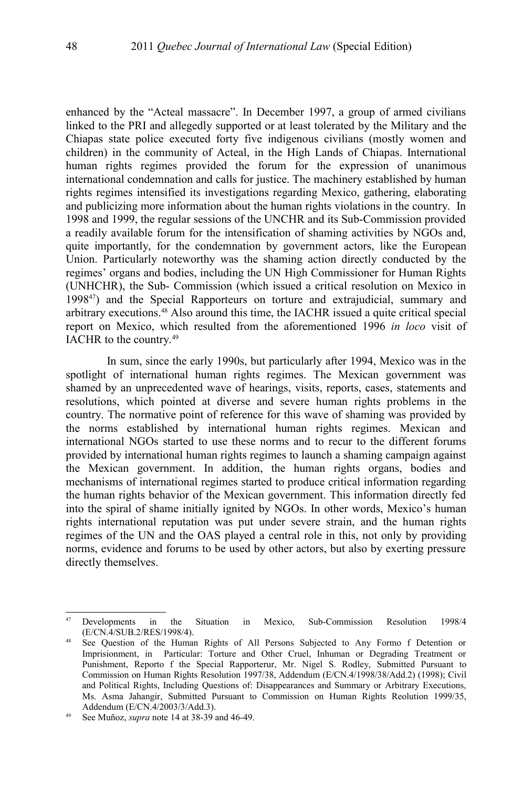enhanced by the "Acteal massacre". In December 1997, a group of armed civilians linked to the PRI and allegedly supported or at least tolerated by the Military and the Chiapas state police executed forty five indigenous civilians (mostly women and children) in the community of Acteal, in the High Lands of Chiapas. International human rights regimes provided the forum for the expression of unanimous international condemnation and calls for justice. The machinery established by human rights regimes intensified its investigations regarding Mexico, gathering, elaborating and publicizing more information about the human rights violations in the country. In 1998 and 1999, the regular sessions of the UNCHR and its Sub-Commission provided a readily available forum for the intensification of shaming activities by NGOs and, quite importantly, for the condemnation by government actors, like the European Union. Particularly noteworthy was the shaming action directly conducted by the regimes' organs and bodies, including the UN High Commissioner for Human Rights (UNHCHR), the Sub- Commission (which issued a critical resolution on Mexico in 1998[47](#page-11-0)) and the Special Rapporteurs on torture and extrajudicial, summary and arbitrary executions.[48](#page-11-1) Also around this time, the IACHR issued a quite critical special report on Mexico, which resulted from the aforementioned 1996 *in loco* visit of IACHR to the country.[49](#page-11-2)

In sum, since the early 1990s, but particularly after 1994, Mexico was in the spotlight of international human rights regimes. The Mexican government was shamed by an unprecedented wave of hearings, visits, reports, cases, statements and resolutions, which pointed at diverse and severe human rights problems in the country. The normative point of reference for this wave of shaming was provided by the norms established by international human rights regimes. Mexican and international NGOs started to use these norms and to recur to the different forums provided by international human rights regimes to launch a shaming campaign against the Mexican government. In addition, the human rights organs, bodies and mechanisms of international regimes started to produce critical information regarding the human rights behavior of the Mexican government. This information directly fed into the spiral of shame initially ignited by NGOs. In other words, Mexico's human rights international reputation was put under severe strain, and the human rights regimes of the UN and the OAS played a central role in this, not only by providing norms, evidence and forums to be used by other actors, but also by exerting pressure directly themselves.

<span id="page-11-0"></span><sup>&</sup>lt;sup>47</sup> Developments in the Situation in Mexico, Sub-Commission Resolution 1998/4 (E/CN.4/SUB.2/RES/1998/4).

<span id="page-11-1"></span>See Question of the Human Rights of All Persons Subjected to Any Formo f Detention or Imprisionment, in Particular: Torture and Other Cruel, Inhuman or Degrading Treatment or Punishment, Reporto f the Special Rapporterur, Mr. Nigel S. Rodley, Submitted Pursuant to Commission on Human Rights Resolution 1997/38, Addendum (E/CN.4/1998/38/Add.2) (1998); Civil and Political Rights, Including Questions of: Disappearances and Summary or Arbitrary Executions, Ms. Asma Jahangir, Submitted Pursuant to Commission on Human Rights Reolution 1999/35, Addendum (E/CN.4/2003/3/Add.3).

<span id="page-11-2"></span><sup>49</sup> See Muñoz, *supra* note [14](#page-3-2) at 38-39 and 46-49.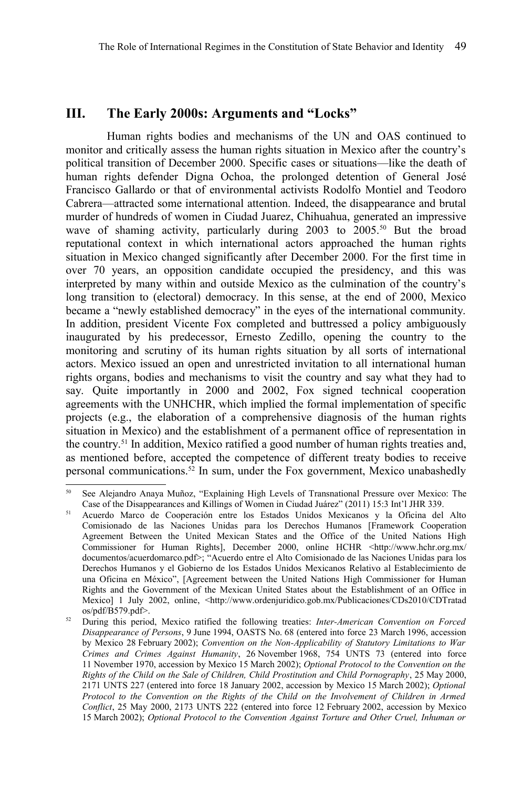## **III. The Early 2000s: Arguments and "Locks"**

Human rights bodies and mechanisms of the UN and OAS continued to monitor and critically assess the human rights situation in Mexico after the country's political transition of December 2000. Specific cases or situations—like the death of human rights defender Digna Ochoa, the prolonged detention of General José Francisco Gallardo or that of environmental activists Rodolfo Montiel and Teodoro Cabrera—attracted some international attention. Indeed, the disappearance and brutal murder of hundreds of women in Ciudad Juarez, Chihuahua, generated an impressive wave of shaming activity, particularly during 2003 to 2005.<sup>[50](#page-12-0)</sup> But the broad reputational context in which international actors approached the human rights situation in Mexico changed significantly after December 2000. For the first time in over 70 years, an opposition candidate occupied the presidency, and this was interpreted by many within and outside Mexico as the culmination of the country's long transition to (electoral) democracy. In this sense, at the end of 2000, Mexico became a "newly established democracy" in the eyes of the international community. In addition, president Vicente Fox completed and buttressed a policy ambiguously inaugurated by his predecessor, Ernesto Zedillo, opening the country to the monitoring and scrutiny of its human rights situation by all sorts of international actors. Mexico issued an open and unrestricted invitation to all international human rights organs, bodies and mechanisms to visit the country and say what they had to say. Quite importantly in 2000 and 2002, Fox signed technical cooperation agreements with the UNHCHR, which implied the formal implementation of specific projects (e.g., the elaboration of a comprehensive diagnosis of the human rights situation in Mexico) and the establishment of a permanent office of representation in the country.[51](#page-12-1) In addition, Mexico ratified a good number of human rights treaties and, as mentioned before, accepted the competence of different treaty bodies to receive personal communications.[52](#page-12-2) In sum, under the Fox government, Mexico unabashedly

<span id="page-12-0"></span><sup>50</sup> See Alejandro Anaya Muñoz, "Explaining High Levels of Transnational Pressure over Mexico: The Case of the Disappearances and Killings of Women in Ciudad Juárez" (2011) 15:3 Int'l JHR 339.

<span id="page-12-1"></span><sup>&</sup>lt;sup>51</sup> Acuerdo Marco de Cooperación entre los Estados Unidos Mexicanos y la Oficina del Alto Comisionado de las Naciones Unidas para los Derechos Humanos [Framework Cooperation Agreement Between the United Mexican States and the Office of the United Nations High Commissioner for Human Rights], December 2000, online HCHR <http://www.hchr.org.mx/ documentos/acuerdomarco.pdf>; "Acuerdo entre el Alto Comisionado de las Naciones Unidas para los Derechos Humanos y el Gobierno de los Estados Unidos Mexicanos Relativo al Establecimiento de una Oficina en México", [Agreement between the United Nations High Commissioner for Human Rights and the Government of the Mexican United States about the Establishment of an Office in Mexico] 1 July 2002, online, <http://www.ordenjuridico.gob.mx/Publicaciones/CDs2010/CDTratad os/pdf/B579.pdf>.

<span id="page-12-2"></span><sup>52</sup> During this period, Mexico ratified the following treaties: *Inter-American Convention on Forced Disappearance of Persons*, 9 June 1994, OASTS No. 68 (entered into force 23 March 1996, accession by Mexico 28 February 2002); *Convention on the Non-Applicability of Statutory Limitations to War Crimes and Crimes Against Humanity*, 26 November 1968, 754 UNTS 73 (entered into force 11 November 1970, accession by Mexico 15 March 2002); *Optional Protocol to the Convention on the Rights of the Child on the Sale of Children, Child Prostitution and Child Pornography*, 25 May 2000, 2171 UNTS 227 (entered into force 18 January 2002, accession by Mexico 15 March 2002); *Optional Protocol to the Convention on the Rights of the Child on the Involvement of Children in Armed Conflict*, 25 May 2000, 2173 UNTS 222 (entered into force 12 February 2002, accession by Mexico 15 March 2002); *Optional Protocol to the Convention Against Torture and Other Cruel, Inhuman or*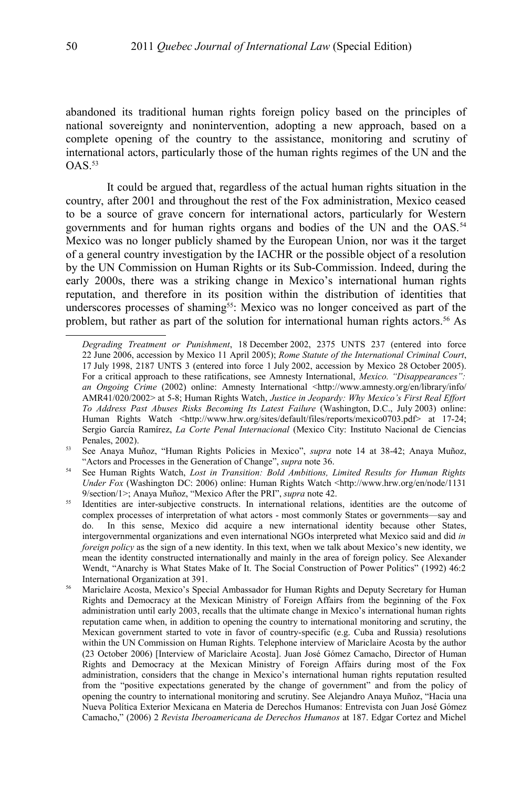abandoned its traditional human rights foreign policy based on the principles of national sovereignty and nonintervention, adopting a new approach, based on a complete opening of the country to the assistance, monitoring and scrutiny of international actors, particularly those of the human rights regimes of the UN and the  $OAS.<sup>53</sup>$  $OAS.<sup>53</sup>$  $OAS.<sup>53</sup>$ 

It could be argued that, regardless of the actual human rights situation in the country, after 2001 and throughout the rest of the Fox administration, Mexico ceased to be a source of grave concern for international actors, particularly for Western governments and for human rights organs and bodies of the UN and the OAS.<sup>[54](#page-13-1)</sup> Mexico was no longer publicly shamed by the European Union, nor was it the target of a general country investigation by the IACHR or the possible object of a resolution by the UN Commission on Human Rights or its Sub-Commission. Indeed, during the early 2000s, there was a striking change in Mexico's international human rights reputation, and therefore in its position within the distribution of identities that underscores processes of shaming<sup>[55](#page-13-2)</sup>: Mexico was no longer conceived as part of the problem, but rather as part of the solution for international human rights actors.[56](#page-13-3) As

*Degrading Treatment or Punishment*, 18 December 2002, 2375 UNTS 237 (entered into force 22 June 2006, accession by Mexico 11 April 2005); *Rome Statute of the International Criminal Court*, 17 July 1998, 2187 UNTS 3 (entered into force 1 July 2002, accession by Mexico 28 October 2005). For a critical approach to these ratifications, see Amnesty International, *Mexico. "Disappearances":* an Ongoing Crime (2002) online: Amnesty International <http://www.amnesty.org/en/library/info/ AMR41/020/2002> at 5-8; Human Rights Watch, *Justice in Jeopardy: Why Mexico's First Real Effort To Address Past Abuses Risks Becoming Its Latest Failure* (Washington, D.C., July 2003) online: Human Rights Watch <http://www.hrw.org/sites/default/files/reports/mexico0703.pdf> at 17-24; Sergio García Ramírez, *La Corte Penal Internacional* (Mexico City: Instituto Nacional de Ciencias Penales, 2002).

<span id="page-13-0"></span><sup>53</sup> See Anaya Muñoz, "Human Rights Policies in Mexico", *supra* note [14](#page-3-2) at 38-42; Anaya Muñoz, "Actors and Processes in the Generation of Change", *supra* note [36.](#page-9-0)

<span id="page-13-1"></span><sup>54</sup> See Human Rights Watch, *Lost in Transition: Bold Ambitions, Limited Results for Human Rights Under Fox* (Washington DC: 2006) online: Human Rights Watch <http://www.hrw.org/en/node/1131 9/section/1>; Anaya Muñoz, "Mexico After the PRI", *supra* note [42.](#page-10-0)

<span id="page-13-2"></span><sup>&</sup>lt;sup>55</sup> Identities are inter-subjective constructs. In international relations, identities are the outcome of complex processes of interpretation of what actors - most commonly States or governments—say and do. In this sense, Mexico did acquire a new international identity because other States, intergovernmental organizations and even international NGOs interpreted what Mexico said and did *in foreign policy* as the sign of a new identity. In this text, when we talk about Mexico's new identity, we mean the identity constructed internationally and mainly in the area of foreign policy. See Alexander Wendt, "Anarchy is What States Make of It. The Social Construction of Power Politics" (1992) 46:2 International Organization at 391.

<span id="page-13-3"></span><sup>&</sup>lt;sup>56</sup> Mariclaire Acosta, Mexico's Special Ambassador for Human Rights and Deputy Secretary for Human Rights and Democracy at the Mexican Ministry of Foreign Affairs from the beginning of the Fox administration until early 2003, recalls that the ultimate change in Mexico's international human rights reputation came when, in addition to opening the country to international monitoring and scrutiny, the Mexican government started to vote in favor of country-specific (e.g. Cuba and Russia) resolutions within the UN Commission on Human Rights. Telephone interview of Mariclaire Acosta by the author (23 October 2006) [Interview of Mariclaire Acosta]. Juan José Gómez Camacho, Director of Human Rights and Democracy at the Mexican Ministry of Foreign Affairs during most of the Fox administration, considers that the change in Mexico's international human rights reputation resulted from the "positive expectations generated by the change of government" and from the policy of opening the country to international monitoring and scrutiny. See Alejandro Anaya Muñoz, "Hacia una Nueva Política Exterior Mexicana en Materia de Derechos Humanos: Entrevista con Juan José Gómez Camacho," (2006) 2 *Revista Iberoamericana de Derechos Humanos* at 187. Edgar Cortez and Michel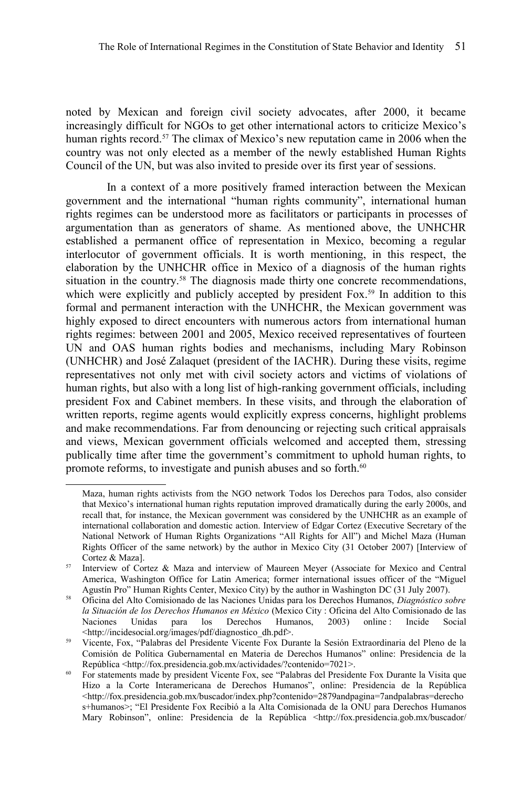noted by Mexican and foreign civil society advocates, after 2000, it became increasingly difficult for NGOs to get other international actors to criticize Mexico's human rights record.<sup>[57](#page-14-0)</sup> The climax of Mexico's new reputation came in 2006 when the country was not only elected as a member of the newly established Human Rights Council of the UN, but was also invited to preside over its first year of sessions.

In a context of a more positively framed interaction between the Mexican government and the international "human rights community", international human rights regimes can be understood more as facilitators or participants in processes of argumentation than as generators of shame. As mentioned above, the UNHCHR established a permanent office of representation in Mexico, becoming a regular interlocutor of government officials. It is worth mentioning, in this respect, the elaboration by the UNHCHR office in Mexico of a diagnosis of the human rights situation in the country.<sup>[58](#page-14-1)</sup> The diagnosis made thirty one concrete recommendations, which were explicitly and publicly accepted by president  $Fox.^{59}$  $Fox.^{59}$  $Fox.^{59}$  In addition to this formal and permanent interaction with the UNHCHR, the Mexican government was highly exposed to direct encounters with numerous actors from international human rights regimes: between 2001 and 2005, Mexico received representatives of fourteen UN and OAS human rights bodies and mechanisms, including Mary Robinson (UNHCHR) and José Zalaquet (president of the IACHR). During these visits, regime representatives not only met with civil society actors and victims of violations of human rights, but also with a long list of high-ranking government officials, including president Fox and Cabinet members. In these visits, and through the elaboration of written reports, regime agents would explicitly express concerns, highlight problems and make recommendations. Far from denouncing or rejecting such critical appraisals and views, Mexican government officials welcomed and accepted them, stressing publically time after time the government's commitment to uphold human rights, to promote reforms, to investigate and punish abuses and so forth.<sup>[60](#page-14-3)</sup>

Maza, human rights activists from the NGO network Todos los Derechos para Todos, also consider that Mexico's international human rights reputation improved dramatically during the early 2000s, and recall that, for instance, the Mexican government was considered by the UNHCHR as an example of international collaboration and domestic action. Interview of Edgar Cortez (Executive Secretary of the National Network of Human Rights Organizations "All Rights for All") and Michel Maza (Human Rights Officer of the same network) by the author in Mexico City (31 October 2007) [Interview of Cortez & Maza].

<span id="page-14-0"></span><sup>57</sup> Interview of Cortez & Maza and interview of Maureen Meyer (Associate for Mexico and Central America, Washington Office for Latin America; former international issues officer of the "Miguel Agustín Pro" Human Rights Center, Mexico City) by the author in Washington DC (31 July 2007).

<span id="page-14-1"></span><sup>58</sup> Oficina del Alto Comisionado de las Naciones Unidas para los Derechos Humanos, *Diagnóstico sobre la Situación de los Derechos Humanos en México* (Mexico City : Oficina del Alto Comisionado de las Naciones Unidas para los Derechos Humanos, 2003) online : Incide Social <http://incidesocial.org/images/pdf/diagnostico\_dh.pdf>.

<span id="page-14-2"></span><sup>59</sup> Vicente, Fox, "Palabras del Presidente Vicente Fox Durante la Sesión Extraordinaria del Pleno de la Comisión de Política Gubernamental en Materia de Derechos Humanos" online: Presidencia de la República <http://fox.presidencia.gob.mx/actividades/?contenido=7021>.

<span id="page-14-3"></span><sup>&</sup>lt;sup>60</sup> For statements made by president Vicente Fox, see "Palabras del Presidente Fox Durante la Visita que Hizo a la Corte Interamericana de Derechos Humanos", online: Presidencia de la República <http://fox.presidencia.gob.mx/buscador/index.php?contenido=2879andpagina=7andpalabras=derecho s+humanos>; "El Presidente Fox Recibió a la Alta Comisionada de la ONU para Derechos Humanos Mary Robinson", online: Presidencia de la República <http://fox.presidencia.gob.mx/buscador/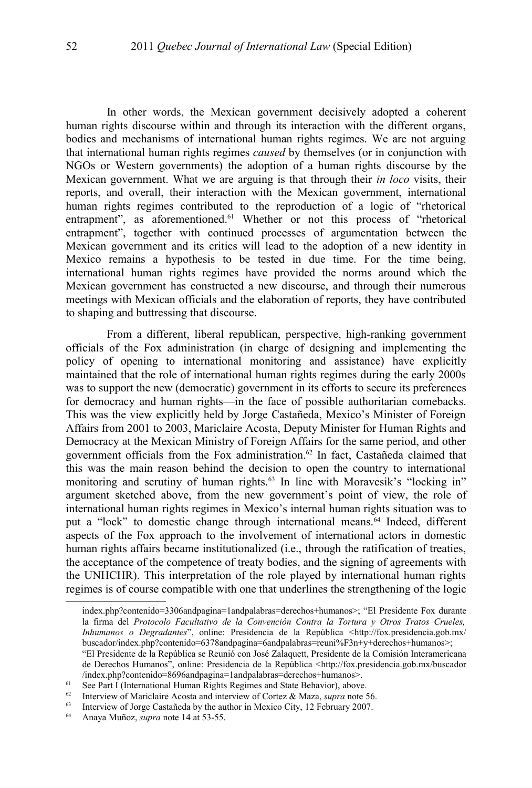In other words, the Mexican government decisively adopted a coherent human rights discourse within and through its interaction with the different organs, bodies and mechanisms of international human rights regimes. We are not arguing that international human rights regimes *caused* by themselves (or in conjunction with NGOs or Western governments) the adoption of a human rights discourse by the Mexican government. What we are arguing is that through their *in loco* visits, their reports, and overall, their interaction with the Mexican government, international human rights regimes contributed to the reproduction of a logic of "rhetorical entrapment", as aforementioned.<sup>[61](#page-15-0)</sup> Whether or not this process of "rhetorical entrapment", together with continued processes of argumentation between the Mexican government and its critics will lead to the adoption of a new identity in Mexico remains a hypothesis to be tested in due time. For the time being, international human rights regimes have provided the norms around which the Mexican government has constructed a new discourse, and through their numerous meetings with Mexican officials and the elaboration of reports, they have contributed to shaping and buttressing that discourse.

From a different, liberal republican, perspective, high-ranking government officials of the Fox administration (in charge of designing and implementing the policy of opening to international monitoring and assistance) have explicitly maintained that the role of international human rights regimes during the early 2000s was to support the new (democratic) government in its efforts to secure its preferences for democracy and human rights—in the face of possible authoritarian comebacks. This was the view explicitly held by Jorge Castañeda, Mexico's Minister of Foreign Affairs from 2001 to 2003, Mariclaire Acosta, Deputy Minister for Human Rights and Democracy at the Mexican Ministry of Foreign Affairs for the same period, and other government officials from the Fox administration.[62](#page-15-1) In fact, Castañeda claimed that this was the main reason behind the decision to open the country to international monitoring and scrutiny of human rights.<sup>[63](#page-15-2)</sup> In line with Moravcsik's "locking in" argument sketched above, from the new government's point of view, the role of international human rights regimes in Mexico's internal human rights situation was to put a "lock" to domestic change through international means.<sup>[64](#page-15-3)</sup> Indeed, different aspects of the Fox approach to the involvement of international actors in domestic human rights affairs became institutionalized (i.e., through the ratification of treaties, the acceptance of the competence of treaty bodies, and the signing of agreements with the UNHCHR). This interpretation of the role played by international human rights regimes is of course compatible with one that underlines the strengthening of the logic

index.php?contenido=3306andpagina=1andpalabras=derechos+humanos>; "El Presidente Fox durante la firma del *Protocolo Facultativo de la Convención Contra la Tortura y Otros Tratos Crueles, Inhumanos o Degradantes*", online: Presidencia de la República <http://fox.presidencia.gob.mx/ buscador/index.php?contenido=6378andpagina=6andpalabras=reuni%F3n+y+derechos+humanos>;

<sup>&</sup>quot;El Presidente de la República se Reunió con José Zalaquett, Presidente de la Comisión Interamericana de Derechos Humanos", online: Presidencia de la República <http://fox.presidencia.gob.mx/buscador /index.php?contenido=8696andpagina=1andpalabras=derechos+humanos>.

<span id="page-15-0"></span><sup>61</sup> See Part I (International Human Rights Regimes and State Behavior), above.

<span id="page-15-1"></span><sup>&</sup>lt;sup>62</sup> Interview of Mariclaire Acosta and interview of Cortez & Maza, *supra* note [56.](#page-13-3)<br><sup>63</sup> Interview of Iorge Castañeda by the author in Mexico City, 12 February 2007.

<span id="page-15-2"></span><sup>&</sup>lt;sup>63</sup> Interview of Jorge Castañeda by the author in Mexico City, 12 February 2007.<br><sup>64</sup> Anava Muñoz, sunta note 14 at 53-55.

<span id="page-15-3"></span><sup>64</sup> Anaya Muñoz, *supra* note [14](#page-3-2) at 53-55.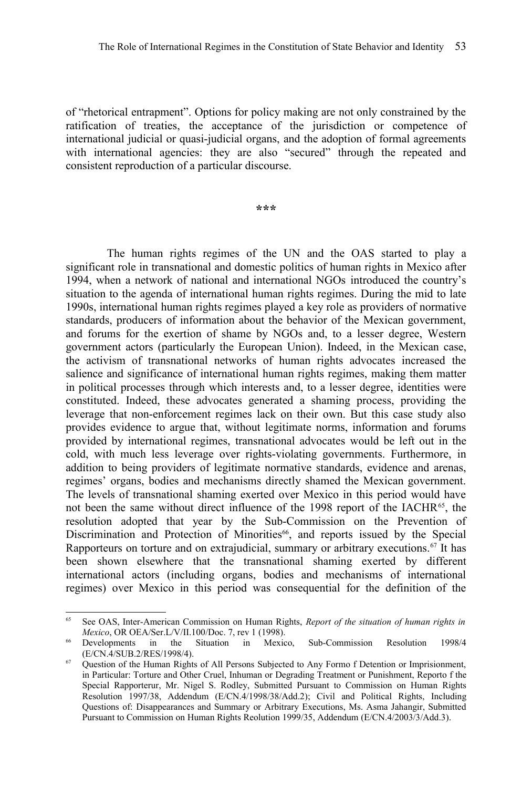of "rhetorical entrapment". Options for policy making are not only constrained by the ratification of treaties, the acceptance of the jurisdiction or competence of international judicial or quasi-judicial organs, and the adoption of formal agreements with international agencies: they are also "secured" through the repeated and consistent reproduction of a particular discourse.

**\*\*\***

The human rights regimes of the UN and the OAS started to play a significant role in transnational and domestic politics of human rights in Mexico after 1994, when a network of national and international NGOs introduced the country's situation to the agenda of international human rights regimes. During the mid to late 1990s, international human rights regimes played a key role as providers of normative standards, producers of information about the behavior of the Mexican government, and forums for the exertion of shame by NGOs and, to a lesser degree, Western government actors (particularly the European Union). Indeed, in the Mexican case, the activism of transnational networks of human rights advocates increased the salience and significance of international human rights regimes, making them matter in political processes through which interests and, to a lesser degree, identities were constituted. Indeed, these advocates generated a shaming process, providing the leverage that non-enforcement regimes lack on their own. But this case study also provides evidence to argue that, without legitimate norms, information and forums provided by international regimes, transnational advocates would be left out in the cold, with much less leverage over rights-violating governments. Furthermore, in addition to being providers of legitimate normative standards, evidence and arenas, regimes' organs, bodies and mechanisms directly shamed the Mexican government. The levels of transnational shaming exerted over Mexico in this period would have not been the same without direct influence of the 1998 report of the IACHR<sup>[65](#page-16-0)</sup>, the resolution adopted that year by the Sub-Commission on the Prevention of Discrimination and Protection of Minorities<sup>[66](#page-16-1)</sup>, and reports issued by the Special Rapporteurs on torture and on extrajudicial, summary or arbitrary executions.<sup>[67](#page-16-2)</sup> It has been shown elsewhere that the transnational shaming exerted by different international actors (including organs, bodies and mechanisms of international regimes) over Mexico in this period was consequential for the definition of the

<span id="page-16-0"></span><sup>65</sup> See OAS, Inter-American Commission on Human Rights, *Report of the situation of human rights in Mexico*, OR OEA/Ser.L/V/II.100/Doc. 7, rev 1 (1998).<br><sup>66</sup> Developments in the Situation in Mexic

<span id="page-16-1"></span>in the Situation in Mexico, Sub-Commission Resolution 1998/4 (E/CN.4/SUB.2/RES/1998/4).

<span id="page-16-2"></span><sup>&</sup>lt;sup>67</sup> Question of the Human Rights of All Persons Subjected to Any Formo f Detention or Imprisionment, in Particular: Torture and Other Cruel, Inhuman or Degrading Treatment or Punishment, Reporto f the Special Rapporterur, Mr. Nigel S. Rodley, Submitted Pursuant to Commission on Human Rights Resolution 1997/38, Addendum (E/CN.4/1998/38/Add.2); Civil and Political Rights, Including Questions of: Disappearances and Summary or Arbitrary Executions, Ms. Asma Jahangir, Submitted Pursuant to Commission on Human Rights Reolution 1999/35, Addendum (E/CN.4/2003/3/Add.3).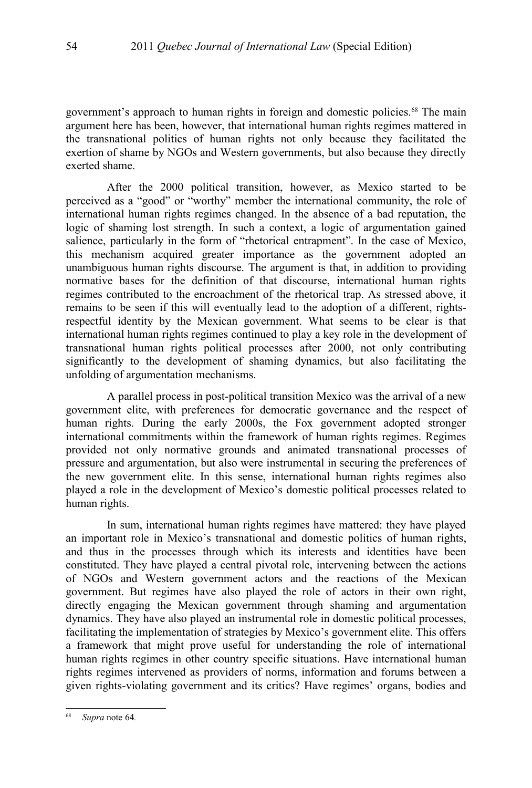government's approach to human rights in foreign and domestic policies.[68](#page-17-0) The main argument here has been, however, that international human rights regimes mattered in the transnational politics of human rights not only because they facilitated the exertion of shame by NGOs and Western governments, but also because they directly exerted shame.

After the 2000 political transition, however, as Mexico started to be perceived as a "good" or "worthy" member the international community, the role of international human rights regimes changed. In the absence of a bad reputation, the logic of shaming lost strength. In such a context, a logic of argumentation gained salience, particularly in the form of "rhetorical entrapment". In the case of Mexico, this mechanism acquired greater importance as the government adopted an unambiguous human rights discourse. The argument is that, in addition to providing normative bases for the definition of that discourse, international human rights regimes contributed to the encroachment of the rhetorical trap. As stressed above, it remains to be seen if this will eventually lead to the adoption of a different, rightsrespectful identity by the Mexican government. What seems to be clear is that international human rights regimes continued to play a key role in the development of transnational human rights political processes after 2000, not only contributing significantly to the development of shaming dynamics, but also facilitating the unfolding of argumentation mechanisms.

A parallel process in post-political transition Mexico was the arrival of a new government elite, with preferences for democratic governance and the respect of human rights. During the early 2000s, the Fox government adopted stronger international commitments within the framework of human rights regimes. Regimes provided not only normative grounds and animated transnational processes of pressure and argumentation, but also were instrumental in securing the preferences of the new government elite. In this sense, international human rights regimes also played a role in the development of Mexico's domestic political processes related to human rights.

In sum, international human rights regimes have mattered: they have played an important role in Mexico's transnational and domestic politics of human rights, and thus in the processes through which its interests and identities have been constituted. They have played a central pivotal role, intervening between the actions of NGOs and Western government actors and the reactions of the Mexican government. But regimes have also played the role of actors in their own right, directly engaging the Mexican government through shaming and argumentation dynamics. They have also played an instrumental role in domestic political processes, facilitating the implementation of strategies by Mexico's government elite. This offers a framework that might prove useful for understanding the role of international human rights regimes in other country specific situations. Have international human rights regimes intervened as providers of norms, information and forums between a given rights-violating government and its critics? Have regimes' organs, bodies and

<span id="page-17-0"></span><sup>68</sup> *Supra* note [64](#page-15-3)*.*